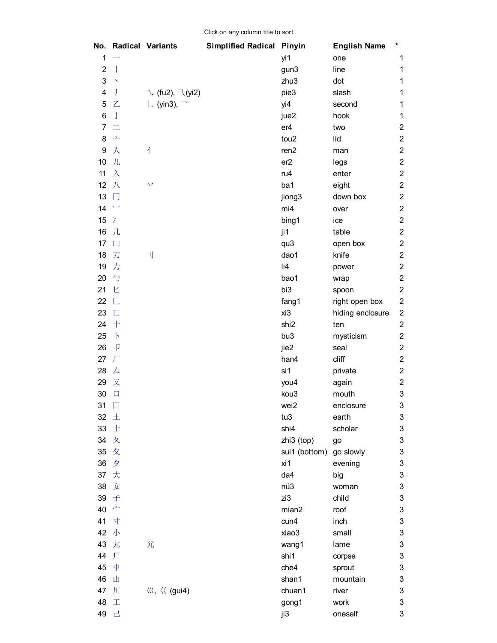| No.                       |                           | <b>Radical Variants</b>                                      | <b>Simplified Radical Pinyin</b> |                  | <b>English Name</b> | $\star$                   |
|---------------------------|---------------------------|--------------------------------------------------------------|----------------------------------|------------------|---------------------|---------------------------|
| 1                         |                           |                                                              |                                  | yi1              | one                 | 1                         |
| $\overline{2}$            | $\overline{1}$            |                                                              |                                  | gun3             | line                | 1                         |
| $\ensuremath{\mathsf{3}}$ | $\boldsymbol{\checkmark}$ |                                                              |                                  | zhu3             | dot                 | 1                         |
| 4                         | J                         | $\sqrt{f(u^2)}$ , $\sqrt{f(u^2)}$                            |                                  | pie3             | slash               | 1                         |
| 5                         | $\mathsf{Z}$              | L (yin3), $\overline{\phantom{a}}$                           |                                  | yi4              | second              | 1                         |
| 6                         | J                         |                                                              |                                  | jue2             | hook                | 1                         |
| $\overline{7}$            | $\equiv$                  |                                                              |                                  | er4              | two                 | $\overline{\mathbf{c}}$   |
| 8                         | $\Delta$                  |                                                              |                                  | tou2             | lid                 | $\overline{c}$            |
| 9                         | 人                         | $\overline{\Lambda}$                                         |                                  | ren <sub>2</sub> | man                 | $\overline{c}$            |
| 10                        | 儿                         |                                                              |                                  | er2              | legs                | $\overline{2}$            |
| 11                        | $\lambda$                 |                                                              |                                  | ru4              | enter               | $\overline{2}$            |
| 12                        | 八                         | $\checkmark$                                                 |                                  | ba1              | eight               | $\overline{c}$            |
| 13                        | П                         |                                                              |                                  | jiong3           | down box            | $\overline{c}$            |
| 14                        | $\overline{\phantom{a}}$  |                                                              |                                  | mi4              | over                | $\overline{c}$            |
| 15                        | $\gamma$                  |                                                              |                                  | bing1            | ice                 | $\overline{c}$            |
| 16                        | 几                         |                                                              |                                  | ji1              | table               | $\overline{c}$            |
| 17                        | $\Box$                    |                                                              |                                  | qu3              | open box            | $\overline{c}$            |
| 18                        | 刀                         | IJ                                                           |                                  | dao1             | knife               | $\overline{2}$            |
| 19                        | 力                         |                                                              |                                  | li4              | power               | $\overline{c}$            |
| 20                        | 勺                         |                                                              |                                  | bao1             | wrap                | $\overline{c}$            |
| 21                        | 匕                         |                                                              |                                  | bi3              | spoon               | $\overline{c}$            |
| 22                        | $\Box$                    |                                                              |                                  | fang1            | right open box      | $\overline{\mathbf{c}}$   |
| 23                        | $\overline{\Box}$         |                                                              |                                  | xi3              | hiding enclosure    | $\boldsymbol{2}$          |
| 24                        | $+$                       |                                                              |                                  | shi <sub>2</sub> | ten                 | $\boldsymbol{2}$          |
| 25                        | $\mathsf{P}$              |                                                              |                                  | bu3              | mysticism           | $\boldsymbol{2}$          |
| 26                        | p                         |                                                              |                                  | jie2             | seal                | $\overline{2}$            |
| 27                        | $\Gamma$                  |                                                              |                                  | han4             | cliff               | $\overline{c}$            |
| 28                        | 厶                         |                                                              |                                  | si1              | private             | $\boldsymbol{2}$          |
| 29                        | 又                         |                                                              |                                  | you4             | again               | $\overline{c}$            |
| 30                        | $\Box$                    |                                                              |                                  | kou3             | mouth               | 3                         |
| 31                        | $\Box$                    |                                                              |                                  | wei2             | enclosure           | 3                         |
| 32                        | 土                         |                                                              |                                  | tu3              | earth               | 3                         |
| 33                        | 士                         |                                                              |                                  | shi4             | scholar             | $\ensuremath{\mathsf{3}}$ |
| 34                        | 攵                         |                                                              |                                  | zhi3 (top)       | go                  | 3                         |
| 35                        | 夊                         |                                                              |                                  | sui1 (bottom)    | go slowly           | 3                         |
| 36                        | 夕                         |                                                              |                                  | xi1              | evening             | $\ensuremath{\mathsf{3}}$ |
| 37                        | 大                         |                                                              |                                  | da4              | big                 | $\ensuremath{\mathsf{3}}$ |
| 38                        | 女                         |                                                              |                                  | nü3              | woman               | $\ensuremath{\mathsf{3}}$ |
| 39                        | 子                         |                                                              |                                  | zi3              | child               | 3                         |
| 40                        | وتكتم                     |                                                              |                                  | mian2            | roof                | 3                         |
| 41                        | 寸                         |                                                              |                                  | cun4             | inch                | 3                         |
| 42                        | 小                         |                                                              |                                  | xiao3            | small               | 3                         |
| 43                        | 尢                         | 尣                                                            |                                  | wang1            | lame                | 3                         |
| 44                        | $\mathsf{F}$              |                                                              |                                  | shi1             | corpse              | 3                         |
| 45                        | 中                         |                                                              |                                  | che4             | sprout              | 3                         |
| 46                        | 山                         |                                                              |                                  | shan1            | mountain            | 3                         |
| 47                        | $\vert \vert \vert$       | $\langle\langle\langle \xi, \xi\rangle\rangle\rangle$ (gui4) |                                  | chuan1           | river               | 3                         |
| 48                        | 工                         |                                                              |                                  | gong1            | work                | $\ensuremath{\mathsf{3}}$ |
| 49                        | 己                         |                                                              |                                  | ji3              | oneself             | 3                         |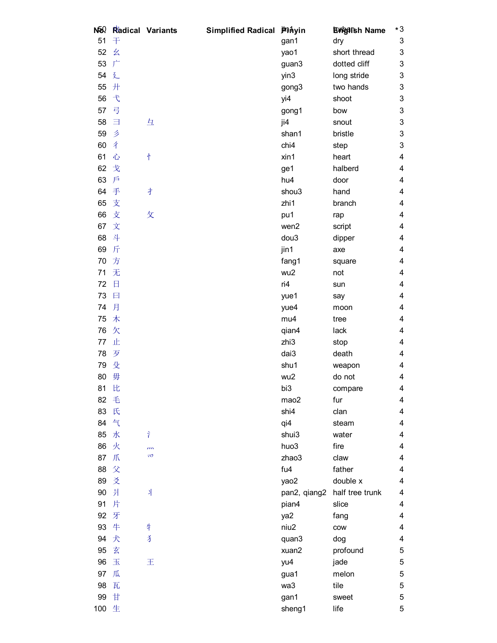| NØ?      |               | Radical Variants | Simplified Radical Phinyin |              | <b>Engalsh Name</b> | $*3$                      |
|----------|---------------|------------------|----------------------------|--------------|---------------------|---------------------------|
| 51       | 干             |                  |                            | gan1         | dry                 | 3                         |
| 52       | 幺             |                  |                            | yao1         | short thread        | 3                         |
| 53       | $\Gamma$      |                  |                            | guan3        | dotted cliff        | 3                         |
| 54       | 廴             |                  |                            | yin3         | long stride         | 3                         |
| 55       | 开             |                  |                            | gong3        | two hands           | 3                         |
| 56       | $\mathcal{F}$ |                  |                            | yi4          | shoot               | 3                         |
| 57       | 弓             |                  |                            | gong1        | bow                 | 3                         |
| 58       | 目             | 彑                |                            | ji4          | snout               | $\ensuremath{\mathsf{3}}$ |
| 59       | Ź             |                  |                            | shan1        | bristle             | 3                         |
| 60       | 4             |                  |                            | chi4         | step                | 3                         |
| 61       | 心             | 忄                |                            | xin1         | heart               | 4                         |
| 62       | 戈             |                  |                            | ge1          | halberd             | 4                         |
| 63       | 戶             |                  |                            | hu4          | door                | 4                         |
| 64       | 手             | 才                |                            | shou3        | hand                | 4                         |
| 65       | 支             |                  |                            | zhi1         | branch              | 4                         |
| 66       | 支             | 攵                |                            | pu1          | rap                 | 4                         |
| 67       | 文             |                  |                            | wen2         | script              | 4                         |
| 68       | 斗             |                  |                            | dou3         | dipper              | 4                         |
| 69       | 斤             |                  |                            | jin1         | axe                 | 4                         |
| 70       | 方             |                  |                            | fang1        | square              | 4                         |
| 71       | 无             |                  |                            | wu2          | not                 | 4                         |
| 72       | 日             |                  |                            | ri4          | sun                 | 4                         |
| 73       | 日             |                  |                            | yue1         | say                 | 4                         |
| 74       | 月             |                  |                            | yue4         | moon                | 4                         |
| 75       | 木             |                  |                            | mu4          | tree                | 4                         |
| 76       | 欠             |                  |                            | qian4        | lack                | 4                         |
| 77       | 止             |                  |                            | zhi3         | stop                | 4                         |
| 78       | 歹             |                  |                            | dai3         | death               | 4                         |
| 79       | 殳             |                  |                            | shu1         | weapon              | 4                         |
| 80       | 毋             |                  |                            | wu2          | do not              | 4                         |
| 81       | 比             |                  |                            | bi3          | compare             | 4                         |
| 82       | 毛             |                  |                            | mao2         | fur                 | 4                         |
| 83       | 氏             |                  |                            | shi4         | clan                | 4                         |
| 84       | 气             |                  |                            | qi4          | steam               | 4                         |
| 85       | 水             | Ŷ                |                            | shui3        | water               | 4                         |
| 86       | 火             | m                |                            | huo3         | fire                | 4                         |
| 87       | 爪             | 47               |                            | zhao3        | claw                | 4                         |
| 88       | 父             |                  |                            | fu4          | father              | 4                         |
| 89       | 爻             |                  |                            | yao2         | double x            | 4                         |
| 90       | 爿             | 斗                |                            | pan2, qiang2 | half tree trunk     | 4                         |
| 91       | 片             |                  |                            | pian4        | slice               | 4                         |
| 92       | 牙             |                  |                            |              |                     | 4                         |
|          | 牛             |                  |                            | ya2          | fang                |                           |
| 93<br>94 | 犬             | 牛<br>ž           |                            | niu2         | cow                 | 4                         |
|          |               |                  |                            | quan3        | dog                 | 4                         |
| 95       | 玄             |                  |                            | xuan2        | profound            | 5                         |
| 96       | 玉             | 王                |                            | yu4          | jade                | 5                         |
| 97       | 瓜             |                  |                            | gua1         | melon               | 5                         |
| 98       | 瓦             |                  |                            | wa3          | tile                | 5                         |
| 99       | 甘             |                  |                            | gan1         | sweet               | 5                         |
| 100 生    |               |                  |                            | sheng1       | life                | 5                         |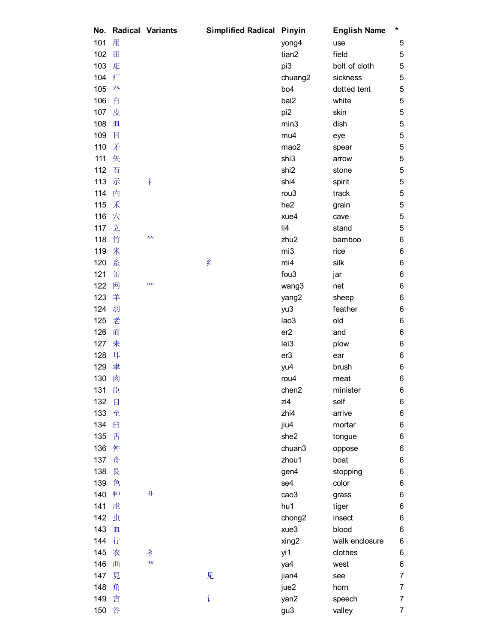| No. |   | <b>Radical Variants</b> | <b>Simplified Radical</b> | Pinyin                     | <b>English Name</b> | * |
|-----|---|-------------------------|---------------------------|----------------------------|---------------------|---|
| 101 | 用 |                         |                           | yong4                      | use                 | 5 |
| 102 | 田 |                         |                           | tian2                      | field               | 5 |
| 103 | 疋 |                         |                           | pi3                        | bolt of cloth       | 5 |
| 104 | 疒 |                         |                           | chuang2                    | sickness            | 5 |
| 105 | 癶 |                         |                           | bo <sub>4</sub>            | dotted tent         | 5 |
| 106 | 白 |                         |                           | bai2                       | white               | 5 |
| 107 | 皮 |                         |                           | pi <sub>2</sub>            | skin                | 5 |
| 108 | 皿 |                         |                           | min3                       | dish                | 5 |
| 109 | 目 |                         |                           | mu4                        | eye                 | 5 |
| 110 | 矛 |                         |                           | mao2                       | spear               | 5 |
| 111 | 矢 |                         |                           | shi3                       | arrow               | 5 |
| 112 | 石 |                         |                           | shi <sub>2</sub>           | stone               | 5 |
| 113 | 示 | ネ                       |                           | shi4                       | spirit              | 5 |
| 114 | 内 |                         |                           | rou <sub>3</sub>           | track               | 5 |
| 115 | 禾 |                         |                           | he <sub>2</sub>            | grain               | 5 |
| 116 | 穴 |                         |                           | xue4                       | cave                | 5 |
| 117 | 立 |                         |                           | $\overline{\mathsf{I}}$ i4 | stand               | 5 |
| 118 | 竹 | 人人                      |                           | zhu2                       | bamboo              | 6 |
| 119 | 米 |                         |                           | mi3                        | rice                | 6 |
| 120 | 糸 |                         | 纟                         | mi4                        | silk                | 6 |
| 121 | 缶 |                         |                           | fou <sub>3</sub>           | jar                 | 6 |
| 122 | 网 | 皿                       |                           |                            |                     | 6 |
|     | 羊 |                         |                           | wang3                      | net                 |   |
| 123 |   |                         |                           | yang2                      | sheep               | 6 |
| 124 | 羽 |                         |                           | yu3                        | feather             | 6 |
| 125 | 老 |                         |                           | lao3                       | old                 | 6 |
| 126 | 而 |                         |                           | er2                        | and                 | 6 |
| 127 | 耒 |                         |                           | lei3                       | plow                | 6 |
| 128 | 耳 |                         |                           | er <sub>3</sub>            | ear                 | 6 |
| 129 | 聿 |                         |                           | yu4                        | brush               | 6 |
| 130 | 肉 |                         |                           | rou <sub>4</sub>           | meat                | 6 |
| 131 | 臣 |                         |                           | chen2                      | minister            | 6 |
| 132 | 自 |                         |                           | zi4                        | self                | 6 |
| 133 | 至 |                         |                           | zhi4                       | arrive              | 6 |
| 134 | 臼 |                         |                           | jiu4                       | mortar              | 6 |
| 135 | 舌 |                         |                           | she2                       | tongue              | 6 |
| 136 | 舛 |                         |                           | chuan3                     | oppose              | 6 |
| 137 | 舟 |                         |                           | zhou1                      | boat                | 6 |
| 138 | 艮 |                         |                           | gen4                       | stopping            | 6 |
| 139 | 色 |                         |                           | se4                        | color               | 6 |
| 140 | 艸 | $\!+\!$                 |                           | cao3                       | grass               | 6 |
| 141 | 虍 |                         |                           | hu1                        | tiger               | 6 |
| 142 | 虫 |                         |                           | chong <sub>2</sub>         | insect              | 6 |
| 143 | 血 |                         |                           | xue3                       | blood               | 6 |
| 144 | 行 |                         |                           | xing2                      | walk enclosure      | 6 |
| 145 | 衣 | 衤                       |                           | yi1                        | clothes             | 6 |
| 146 | 襾 | 襾                       |                           | ya4                        | west                | 6 |
| 147 | 見 |                         | 见                         | jian4                      | see                 | 7 |
| 148 | 角 |                         |                           | jue2                       | horn                | 7 |
| 149 | 言 |                         | 讠                         | yan2                       | speech              | 7 |
| 150 | 谷 |                         |                           | gu3                        | valley              | 7 |
|     |   |                         |                           |                            |                     |   |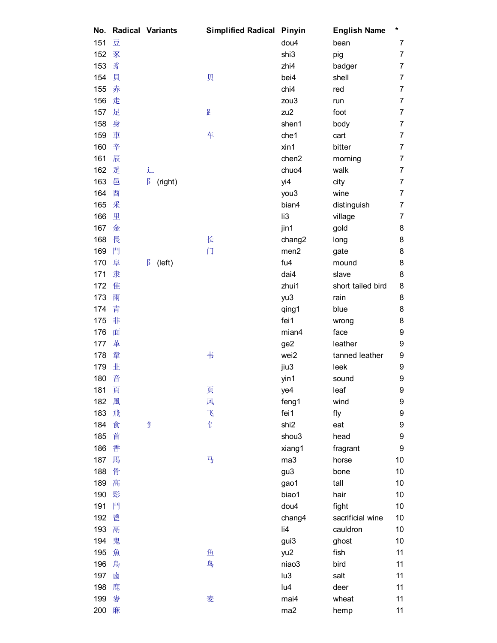| No. |   | <b>Radical Variants</b> | <b>Simplified Radical</b> | Pinyin           | <b>English Name</b> | *                |
|-----|---|-------------------------|---------------------------|------------------|---------------------|------------------|
| 151 | 豆 |                         |                           | dou4             | bean                | 7                |
| 152 | 豕 |                         |                           | shi3             | pig                 | 7                |
| 153 | 豸 |                         |                           | zhi4             | badger              | 7                |
| 154 | 貝 |                         | 贝                         | bei4             | shell               | 7                |
| 155 | 赤 |                         |                           | chi4             | red                 | 7                |
| 156 | 走 |                         |                           | zou3             | run                 | 7                |
| 157 | 足 |                         | ŀ                         | zu2              | foot                | $\overline{7}$   |
| 158 | 身 |                         |                           | shen1            | body                | 7                |
| 159 | 車 |                         | 车                         | che1             | cart                | 7                |
| 160 | 辛 |                         |                           | xin1             | bitter              | 7                |
| 161 | 辰 |                         |                           | chen2            | morning             | 7                |
| 162 | 辵 | 辶                       |                           | chuo4            | walk                | 7                |
| 163 | 邑 | $\beta$<br>(right)      |                           | yi4              | city                | 7                |
| 164 | 酉 |                         |                           | you3             | wine                | 7                |
| 165 | 釆 |                         |                           | bian4            | distinguish         | 7                |
| 166 | 里 |                         |                           | li3              | village             | 7                |
| 167 | 金 |                         |                           | jin1             | gold                | 8                |
| 168 | 長 |                         | 长                         | chang2           | long                | 8                |
| 169 | 門 |                         | 门                         | men <sub>2</sub> | gate                | 8                |
| 170 | 阜 | ß<br>(left)             |                           | fu4              | mound               | 8                |
| 171 | 隶 |                         |                           | dai4             | slave               | 8                |
| 172 | 隹 |                         |                           | zhui1            | short tailed bird   | 8                |
| 173 | 雨 |                         |                           | yu3              | rain                | 8                |
| 174 | 青 |                         |                           | qing1            | blue                | 8                |
| 175 | 非 |                         |                           | fei1             | wrong               | 8                |
| 176 | 面 |                         |                           | mian4            | face                | 9                |
| 177 | 革 |                         |                           | ge2              | leather             | 9                |
| 178 | 韋 |                         | 韦                         | wei2             | tanned leather      | 9                |
| 179 | 韭 |                         |                           | jiu3             | leek                | 9                |
| 180 | 音 |                         |                           | yin1             | sound               | 9                |
| 181 | 頁 |                         | 页                         | ye4              | leaf                | 9                |
| 182 | 風 |                         | 风                         | feng1            | wind                | 9                |
| 183 | 飛 |                         | $\mathcal{L}$             | fei1             | fly                 | $\boldsymbol{9}$ |
| 184 | 食 | 食                       | 乍                         | shi <sub>2</sub> | eat                 | $\boldsymbol{9}$ |
| 185 | 首 |                         |                           | shou3            | head                | $\boldsymbol{9}$ |
| 186 | 香 |                         |                           | xiang1           | fragrant            | 9                |
| 187 | 馬 |                         | 马                         | ma3              | horse               | 10               |
| 188 | 骨 |                         |                           | gu3              | bone                | 10               |
| 189 | 高 |                         |                           | gao1             | tall                | 10               |
| 190 | 髟 |                         |                           | biao1            | hair                | 10               |
| 191 | 鬥 |                         |                           | dou4             | fight               | 10               |
| 192 | 鬯 |                         |                           | chang4           | sacrificial wine    | 10               |
| 193 | 鬲 |                         |                           | li4              | cauldron            | 10               |
| 194 | 鬼 |                         |                           | gui3             | ghost               | 10               |
| 195 | 魚 |                         | 鱼                         | yu2              | fish                | 11               |
| 196 | 鳥 |                         | 鸟                         | niao3            | bird                | 11               |
| 197 | 鹵 |                         |                           | lu3              | salt                | 11               |
| 198 | 鹿 |                         |                           | lu4              | deer                | 11               |
| 199 | 麥 |                         | 麦                         | mai4             | wheat               | 11               |
| 200 | 麻 |                         |                           | ma2              | hemp                | 11               |